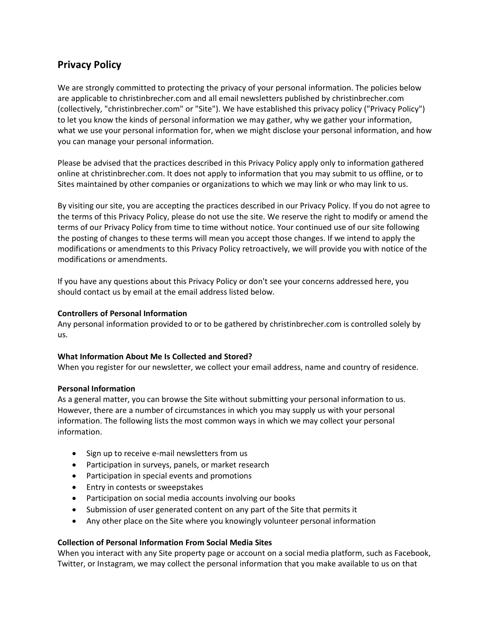# **Privacy Policy**

We are strongly committed to protecting the privacy of your personal information. The policies below are applicable to christinbrecher.com and all email newsletters published by christinbrecher.com (collectively, "christinbrecher.com" or "Site"). We have established this privacy policy ("Privacy Policy") to let you know the kinds of personal information we may gather, why we gather your information, what we use your personal information for, when we might disclose your personal information, and how you can manage your personal information.

Please be advised that the practices described in this Privacy Policy apply only to information gathered online at christinbrecher.com. It does not apply to information that you may submit to us offline, or to Sites maintained by other companies or organizations to which we may link or who may link to us.

By visiting our site, you are accepting the practices described in our Privacy Policy. If you do not agree to the terms of this Privacy Policy, please do not use the site. We reserve the right to modify or amend the terms of our Privacy Policy from time to time without notice. Your continued use of our site following the posting of changes to these terms will mean you accept those changes. If we intend to apply the modifications or amendments to this Privacy Policy retroactively, we will provide you with notice of the modifications or amendments.

If you have any questions about this Privacy Policy or don't see your concerns addressed here, you should contact us by email at the email address listed below.

## **Controllers of Personal Information**

Any personal information provided to or to be gathered by christinbrecher.com is controlled solely by us.

# **What Information About Me Is Collected and Stored?**

When you register for our newsletter, we collect your email address, name and country of residence.

#### **Personal Information**

As a general matter, you can browse the Site without submitting your personal information to us. However, there are a number of circumstances in which you may supply us with your personal information. The following lists the most common ways in which we may collect your personal information.

- Sign up to receive e-mail newsletters from us
- Participation in surveys, panels, or market research
- Participation in special events and promotions
- Entry in contests or sweepstakes
- Participation on social media accounts involving our books
- Submission of user generated content on any part of the Site that permits it
- Any other place on the Site where you knowingly volunteer personal information

#### **Collection of Personal Information From Social Media Sites**

When you interact with any Site property page or account on a social media platform, such as Facebook, Twitter, or Instagram, we may collect the personal information that you make available to us on that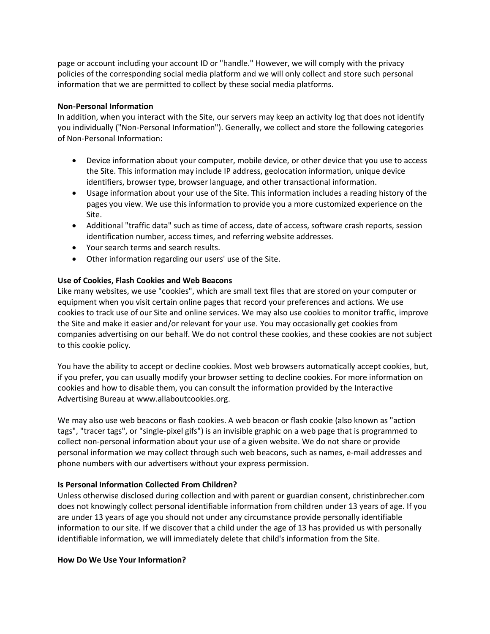page or account including your account ID or "handle." However, we will comply with the privacy policies of the corresponding social media platform and we will only collect and store such personal information that we are permitted to collect by these social media platforms.

## **Non-Personal Information**

In addition, when you interact with the Site, our servers may keep an activity log that does not identify you individually ("Non-Personal Information"). Generally, we collect and store the following categories of Non-Personal Information:

- Device information about your computer, mobile device, or other device that you use to access the Site. This information may include IP address, geolocation information, unique device identifiers, browser type, browser language, and other transactional information.
- Usage information about your use of the Site. This information includes a reading history of the pages you view. We use this information to provide you a more customized experience on the Site.
- Additional "traffic data" such as time of access, date of access, software crash reports, session identification number, access times, and referring website addresses.
- Your search terms and search results.
- Other information regarding our users' use of the Site.

# **Use of Cookies, Flash Cookies and Web Beacons**

Like many websites, we use "cookies", which are small text files that are stored on your computer or equipment when you visit certain online pages that record your preferences and actions. We use cookies to track use of our Site and online services. We may also use cookies to monitor traffic, improve the Site and make it easier and/or relevant for your use. You may occasionally get cookies from companies advertising on our behalf. We do not control these cookies, and these cookies are not subject to this cookie policy.

You have the ability to accept or decline cookies. Most web browsers automatically accept cookies, but, if you prefer, you can usually modify your browser setting to decline cookies. For more information on cookies and how to disable them, you can consult the information provided by the Interactive Advertising Bureau at www.allaboutcookies.org.

We may also use web beacons or flash cookies. A web beacon or flash cookie (also known as "action tags", "tracer tags", or "single-pixel gifs") is an invisible graphic on a web page that is programmed to collect non-personal information about your use of a given website. We do not share or provide personal information we may collect through such web beacons, such as names, e-mail addresses and phone numbers with our advertisers without your express permission.

# **Is Personal Information Collected From Children?**

Unless otherwise disclosed during collection and with parent or guardian consent, christinbrecher.com does not knowingly collect personal identifiable information from children under 13 years of age. If you are under 13 years of age you should not under any circumstance provide personally identifiable information to our site. If we discover that a child under the age of 13 has provided us with personally identifiable information, we will immediately delete that child's information from the Site.

#### **How Do We Use Your Information?**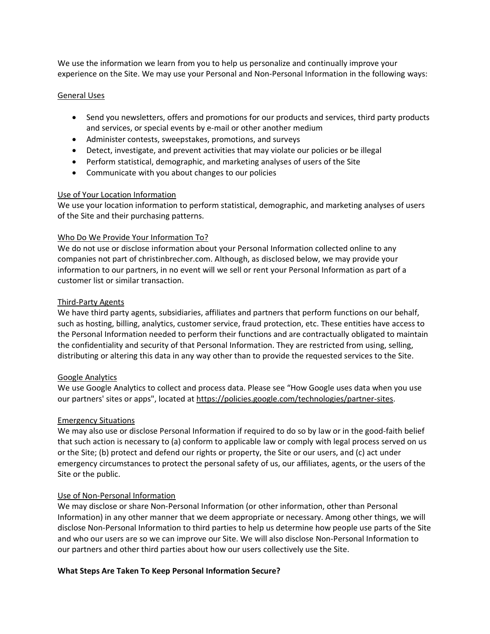We use the information we learn from you to help us personalize and continually improve your experience on the Site. We may use your Personal and Non-Personal Information in the following ways:

## General Uses

- Send you newsletters, offers and promotions for our products and services, third party products and services, or special events by e-mail or other another medium
- Administer contests, sweepstakes, promotions, and surveys
- Detect, investigate, and prevent activities that may violate our policies or be illegal
- Perform statistical, demographic, and marketing analyses of users of the Site
- Communicate with you about changes to our policies

# Use of Your Location Information

We use your location information to perform statistical, demographic, and marketing analyses of users of the Site and their purchasing patterns.

## Who Do We Provide Your Information To?

We do not use or disclose information about your Personal Information collected online to any companies not part of christinbrecher.com. Although, as disclosed below, we may provide your information to our partners, in no event will we sell or rent your Personal Information as part of a customer list or similar transaction.

## Third-Party Agents

We have third party agents, subsidiaries, affiliates and partners that perform functions on our behalf, such as hosting, billing, analytics, customer service, fraud protection, etc. These entities have access to the Personal Information needed to perform their functions and are contractually obligated to maintain the confidentiality and security of that Personal Information. They are restricted from using, selling, distributing or altering this data in any way other than to provide the requested services to the Site.

# Google Analytics

We use Google Analytics to collect and process data. Please see "How Google uses data when you use our partners' sites or apps", located at [https://policies.google.com/technologies/partner-sites.](https://policies.google.com/technologies/partner-sites)

# Emergency Situations

We may also use or disclose Personal Information if required to do so by law or in the good-faith belief that such action is necessary to (a) conform to applicable law or comply with legal process served on us or the Site; (b) protect and defend our rights or property, the Site or our users, and (c) act under emergency circumstances to protect the personal safety of us, our affiliates, agents, or the users of the Site or the public.

# Use of Non-Personal Information

We may disclose or share Non-Personal Information (or other information, other than Personal Information) in any other manner that we deem appropriate or necessary. Among other things, we will disclose Non-Personal Information to third parties to help us determine how people use parts of the Site and who our users are so we can improve our Site. We will also disclose Non-Personal Information to our partners and other third parties about how our users collectively use the Site.

#### **What Steps Are Taken To Keep Personal Information Secure?**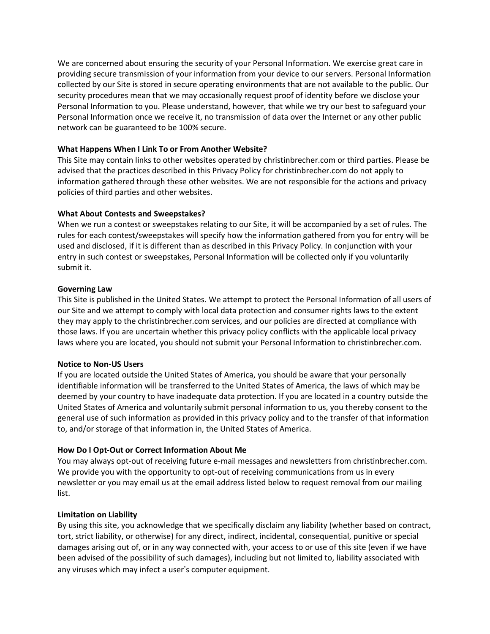We are concerned about ensuring the security of your Personal Information. We exercise great care in providing secure transmission of your information from your device to our servers. Personal Information collected by our Site is stored in secure operating environments that are not available to the public. Our security procedures mean that we may occasionally request proof of identity before we disclose your Personal Information to you. Please understand, however, that while we try our best to safeguard your Personal Information once we receive it, no transmission of data over the Internet or any other public network can be guaranteed to be 100% secure.

## **What Happens When I Link To or From Another Website?**

This Site may contain links to other websites operated by christinbrecher.com or third parties. Please be advised that the practices described in this Privacy Policy for christinbrecher.com do not apply to information gathered through these other websites. We are not responsible for the actions and privacy policies of third parties and other websites.

## **What About Contests and Sweepstakes?**

When we run a contest or sweepstakes relating to our Site, it will be accompanied by a set of rules. The rules for each contest/sweepstakes will specify how the information gathered from you for entry will be used and disclosed, if it is different than as described in this Privacy Policy. In conjunction with your entry in such contest or sweepstakes, Personal Information will be collected only if you voluntarily submit it.

## **Governing Law**

This Site is published in the United States. We attempt to protect the Personal Information of all users of our Site and we attempt to comply with local data protection and consumer rights laws to the extent they may apply to the christinbrecher.com services, and our policies are directed at compliance with those laws. If you are uncertain whether this privacy policy conflicts with the applicable local privacy laws where you are located, you should not submit your Personal Information to christinbrecher.com.

#### **Notice to Non-US Users**

If you are located outside the United States of America, you should be aware that your personally identifiable information will be transferred to the United States of America, the laws of which may be deemed by your country to have inadequate data protection. If you are located in a country outside the United States of America and voluntarily submit personal information to us, you thereby consent to the general use of such information as provided in this privacy policy and to the transfer of that information to, and/or storage of that information in, the United States of America.

#### **How Do I Opt-Out or Correct Information About Me**

You may always opt-out of receiving future e-mail messages and newsletters from christinbrecher.com. We provide you with the opportunity to opt-out of receiving communications from us in every newsletter or you may email us at the email address listed below to request removal from our mailing list.

#### **Limitation on Liability**

By using this site, you acknowledge that we specifically disclaim any liability (whether based on contract, tort, strict liability, or otherwise) for any direct, indirect, incidental, consequential, punitive or special damages arising out of, or in any way connected with, your access to or use of this site (even if we have been advised of the possibility of such damages), including but not limited to, liability associated with any viruses which may infect a user's computer equipment.